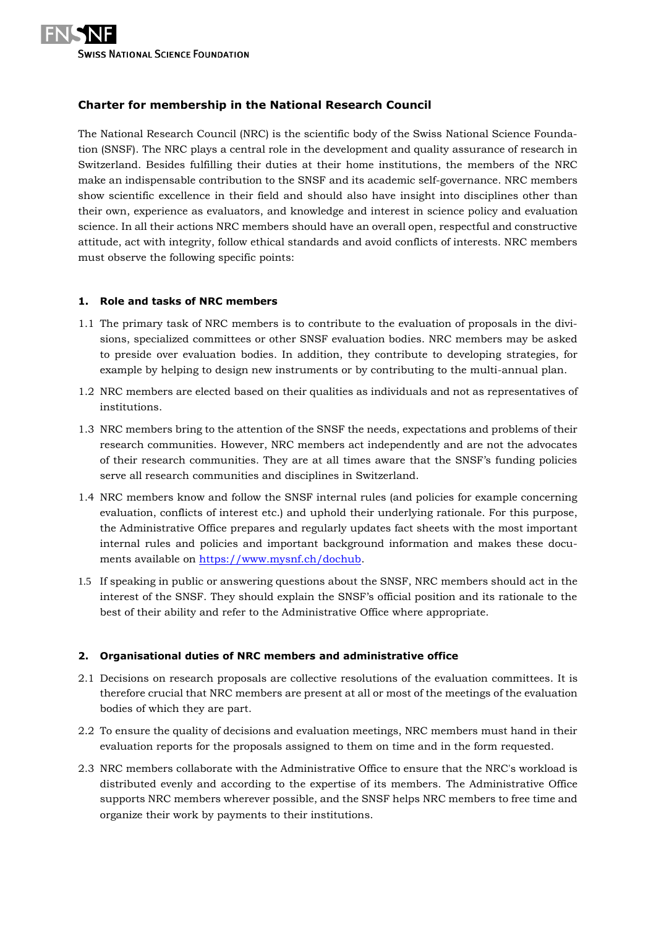

# **Charter for membership in the National Research Council**

The National Research Council (NRC) is the scientific body of the Swiss National Science Foundation (SNSF). The NRC plays a central role in the development and quality assurance of research in Switzerland. Besides fulfilling their duties at their home institutions, the members of the NRC make an indispensable contribution to the SNSF and its academic self-governance. NRC members show scientific excellence in their field and should also have insight into disciplines other than their own, experience as evaluators, and knowledge and interest in science policy and evaluation science. In all their actions NRC members should have an overall open, respectful and constructive attitude, act with integrity, follow ethical standards and avoid conflicts of interests. NRC members must observe the following specific points:

#### **1. Role and tasks of NRC members**

- 1.1 The primary task of NRC members is to contribute to the evaluation of proposals in the divisions, specialized committees or other SNSF evaluation bodies. NRC members may be asked to preside over evaluation bodies. In addition, they contribute to developing strategies, for example by helping to design new instruments or by contributing to the multi-annual plan.
- 1.2 NRC members are elected based on their qualities as individuals and not as representatives of institutions.
- 1.3 NRC members bring to the attention of the SNSF the needs, expectations and problems of their research communities. However, NRC members act independently and are not the advocates of their research communities. They are at all times aware that the SNSF's funding policies serve all research communities and disciplines in Switzerland.
- 1.4 NRC members know and follow the SNSF internal rules (and policies for example concerning evaluation, conflicts of interest etc.) and uphold their underlying rationale. For this purpose, the Administrative Office prepares and regularly updates fact sheets with the most important internal rules and policies and important background information and makes these documents available on [https://www.mysnf.ch/dochub.](https://www.mysnf.ch/dochub)
- 1.5 If speaking in public or answering questions about the SNSF, NRC members should act in the interest of the SNSF. They should explain the SNSF's official position and its rationale to the best of their ability and refer to the Administrative Office where appropriate.

# **2. Organisational duties of NRC members and administrative office**

- 2.1 Decisions on research proposals are collective resolutions of the evaluation committees. It is therefore crucial that NRC members are present at all or most of the meetings of the evaluation bodies of which they are part.
- 2.2 To ensure the quality of decisions and evaluation meetings, NRC members must hand in their evaluation reports for the proposals assigned to them on time and in the form requested.
- 2.3 NRC members collaborate with the Administrative Office to ensure that the NRC's workload is distributed evenly and according to the expertise of its members. The Administrative Office supports NRC members wherever possible, and the SNSF helps NRC members to free time and organize their work by payments to their institutions.